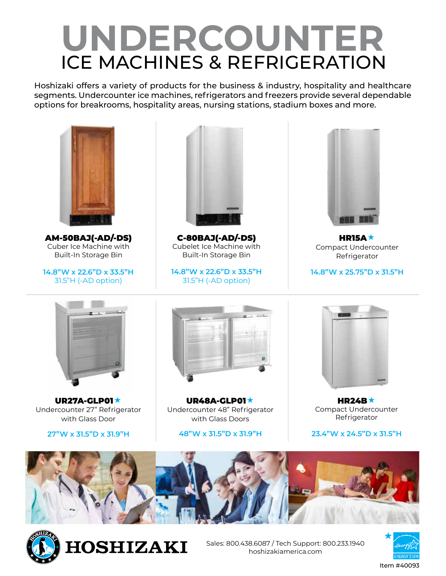# **UNDERCOUNTER** ICE MACHINES & REFRIGERATION

Hoshizaki offers a variety of products for the business & industry, hospitality and healthcare segments. Undercounter ice machines, refrigerators and freezers provide several dependable options for breakrooms, hospitality areas, nursing stations, stadium boxes and more.



AM-50BAJ(-AD/-DS) Cuber Ice Machine with Built-In Storage Bin

**14.8"W x 22.6"D x 33.5"H** 31.5"H (-AD option)



C-80BAJ(-AD/-DS) Cubelet Ice Machine with Built-In Storage Bin

**14.8"W x 22.6"D x 33.5"H** 31.5"H (-AD option)



HR15A $\star$ Compact Undercounter Refrigerator

**14.8"W x 25.75"D x 31.5"H**



UR27A-GLP01\* Undercounter 27" Refrigerator with Glass Door

**27"W x 31.5"D x 31.9"H**



UR48A-GLP01★ Undercounter 48" Refrigerator with Glass Doors

**48"W x 31.5"D x 31.9"H**



HR24B $\star$ Compact Undercounter Refrigerator

#### **23.4"W x 24.5"D x 31.5"H**





**HOSHIZAKI** 

Sales: 800.438.6087 / Tech Support: 800.233.1940 hoshizakiamerica.com